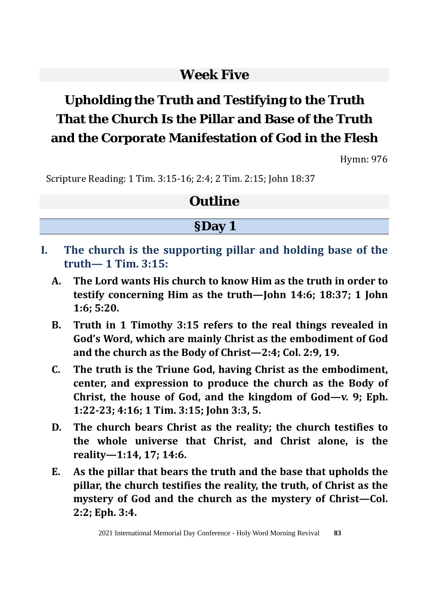## **Week Five**

# **Upholding the Truth and Testifying to the Truth That the Church Is the Pillar and Base of the Truth and the Corporate Manifestation of God in the Flesh**

Hymn: 976

Scripture Reading: 1 Tim. 3:15-16; 2:4; 2 Tim. 2:15; John 18:37

## **Outline**

## **§Day 1**

- **I. The church is the supporting pillar and holding base of the truth— 1 Tim. 3:15:**
	- **A. The Lord wants His church to know Him as the truth in order to testify concerning Him as the truth—John 14:6; 18:37; 1 John 1:6; 5:20.**
	- **B. Truth in 1 Timothy 3:15 refers to the real things revealed in God's Word, which are mainly Christ as the embodiment of God and the church as the Body of Christ—2:4; Col. 2:9, 19.**
	- **C. The truth is the Triune God, having Christ as the embodiment, center, and expression to produce the church as the Body of Christ, the house of God, and the kingdom of God—v. 9; Eph. 1:22-23; 4:16; 1 Tim. 3:15; John 3:3, 5.**
	- **D. The church bears Christ as the reality; the church testifies to the whole universe that Christ, and Christ alone, is the reality—1:14, 17; 14:6.**
	- **E. As the pillar that bears the truth and the base that upholds the pillar, the church testifies the reality, the truth, of Christ as the mystery of God and the church as the mystery of Christ—Col. 2:2; Eph. 3:4.**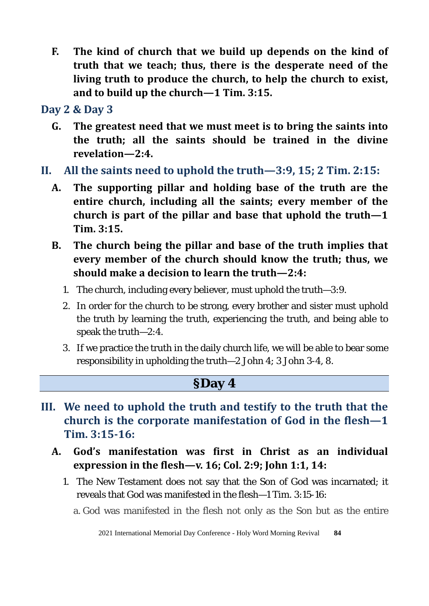**F. The kind of church that we build up depends on the kind of truth that we teach; thus, there is the desperate need of the living truth to produce the church, to help the church to exist, and to build up the church—1 Tim. 3:15.** 

**Day 2 & Day 3**

- **G. The greatest need that we must meet is to bring the saints into the truth; all the saints should be trained in the divine revelation—2:4.**
- **II. All the saints need to uphold the truth—3:9, 15; 2 Tim. 2:15:**
	- **A. The supporting pillar and holding base of the truth are the entire church, including all the saints; every member of the church is part of the pillar and base that uphold the truth—1 Tim. 3:15.**
	- **B. The church being the pillar and base of the truth implies that every member of the church should know the truth; thus, we should make a decision to learn the truth—2:4:** 
		- 1. The church, including every believer, must uphold the truth—3:9.
		- 2. In order for the church to be strong, every brother and sister must uphold the truth by learning the truth, experiencing the truth, and being able to speak the truth—2:4.
		- 3. If we practice the truth in the daily church life, we will be able to bear some responsibility in upholding the truth—2 John 4; 3 John 3-4, 8.

## **§Day 4**

- **III. We need to uphold the truth and testify to the truth that the church is the corporate manifestation of God in the flesh—1 Tim. 3:15-16:** 
	- **A. God's manifestation was first in Christ as an individual expression in the flesh—v. 16; Col. 2:9; John 1:1, 14:** 
		- 1. The New Testament does not say that the Son of God was incarnated; it reveals that God was manifested in the flesh—1 Tim. 3:15-16:
			- a. God was manifested in the flesh not only as the Son but as the entire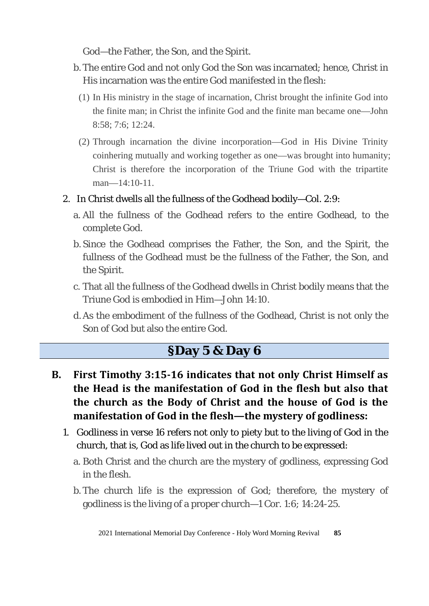God—the Father, the Son, and the Spirit.

- b. The entire God and not only God the Son was incarnated; hence, Christ in His incarnation was the entire God manifested in the flesh:
	- (1) In His ministry in the stage of incarnation, Christ brought the infinite God into the finite man; in Christ the infinite God and the finite man became one—John 8:58; 7:6; 12:24.
	- (2) Through incarnation the divine incorporation—God in His Divine Trinity coinhering mutually and working together as one—was brought into humanity; Christ is therefore the incorporation of the Triune God with the tripartite man—14:10-11.
- 2. In Christ dwells all the fullness of the Godhead bodily—Col. 2:9:
	- a. All the fullness of the Godhead refers to the entire Godhead, to the complete God.
	- b. Since the Godhead comprises the Father, the Son, and the Spirit, the fullness of the Godhead must be the fullness of the Father, the Son, and the Spirit.
	- c. That all the fullness of the Godhead dwells in Christ bodily means that the Triune God is embodied in Him—John 14:10.
	- d.As the embodiment of the fullness of the Godhead, Christ is not only the Son of God but also the entire God.

## **§Day 5 & Day 6**

- **B. First Timothy 3:15-16 indicates that not only Christ Himself as the Head is the manifestation of God in the flesh but also that the church as the Body of Christ and the house of God is the manifestation of God in the flesh—the mystery of godliness:**
	- 1. Godliness in verse 16 refers not only to piety but to the living of God in the church, that is, God as life lived out in the church to be expressed:
		- a. Both Christ and the church are the mystery of godliness, expressing God in the flesh.
		- b. The church life is the expression of God; therefore, the mystery of godliness is the living of a proper church—1 Cor. 1:6; 14:24-25.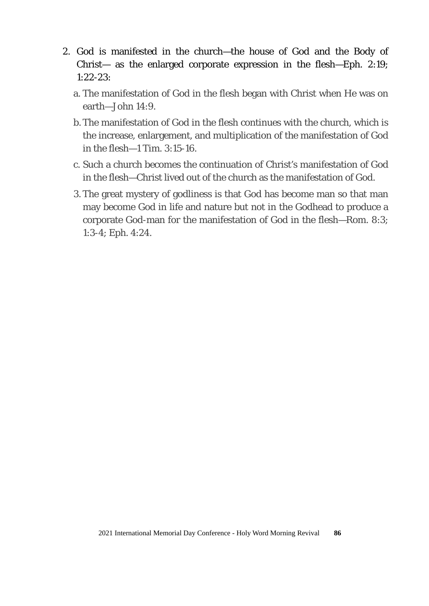- 2. God is manifested in the church—the house of God and the Body of Christ— as the enlarged corporate expression in the flesh—Eph. 2:19; 1:22-23:
	- a. The manifestation of God in the flesh began with Christ when He was on earth—John 14:9.
	- b. The manifestation of God in the flesh continues with the church, which is the increase, enlargement, and multiplication of the manifestation of God in the flesh $-1$  Tim. 3:15-16.
	- c. Such a church becomes the continuation of Christ's manifestation of God in the flesh—Christ lived out of the church as the manifestation of God.
	- 3. The great mystery of godliness is that God has become man so that man may become God in life and nature but not in the Godhead to produce a corporate God-man for the manifestation of God in the flesh—Rom. 8:3; 1:3-4; Eph. 4:24.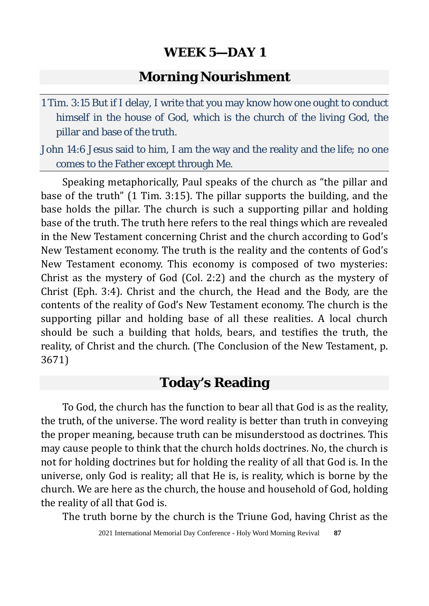#### **Morning Nourishment**

1 Tim. 3:15 But if I delay, I write that you may know how one ought to conduct himself in the house of God, which is the church of the living God, the pillar and base of the truth.

John 14:6 Jesus said to him, I am the way and the reality and the life; no one comes to the Father except through Me.

Speaking metaphorically, Paul speaks of the church as "the pillar and base of the truth" (1 Tim. 3:15). The pillar supports the building, and the base holds the pillar. The church is such a supporting pillar and holding base of the truth. The truth here refers to the real things which are revealed in the New Testament concerning Christ and the church according to God's New Testament economy. The truth is the reality and the contents of God's New Testament economy. This economy is composed of two mysteries: Christ as the mystery of God (Col. 2:2) and the church as the mystery of Christ (Eph. 3:4). Christ and the church, the Head and the Body, are the contents of the reality of God's New Testament economy. The church is the supporting pillar and holding base of all these realities. A local church should be such a building that holds, bears, and testifies the truth, the reality, of Christ and the church. (The Conclusion of the New Testament, p. 3671)

## **Today's Reading**

To God, the church has the function to bear all that God is as the reality, the truth, of the universe. The word reality is better than truth in conveying the proper meaning, because truth can be misunderstood as doctrines. This may cause people to think that the church holds doctrines. No, the church is not for holding doctrines but for holding the reality of all that God is. In the universe, only God is reality; all that He is, is reality, which is borne by the church. We are here as the church, the house and household of God, holding the reality of all that God is.

The truth borne by the church is the Triune God, having Christ as the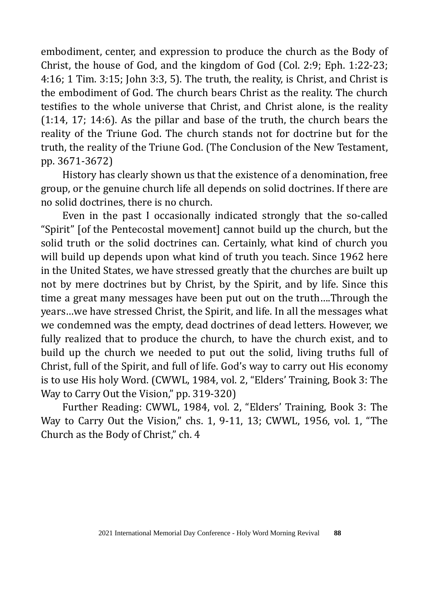embodiment, center, and expression to produce the church as the Body of Christ, the house of God, and the kingdom of God (Col. 2:9; Eph. 1:22-23; 4:16; 1 Tim. 3:15; John 3:3, 5). The truth, the reality, is Christ, and Christ is the embodiment of God. The church bears Christ as the reality. The church testifies to the whole universe that Christ, and Christ alone, is the reality (1:14, 17; 14:6). As the pillar and base of the truth, the church bears the reality of the Triune God. The church stands not for doctrine but for the truth, the reality of the Triune God. (The Conclusion of the New Testament, pp. 3671-3672)

History has clearly shown us that the existence of a denomination, free group, or the genuine church life all depends on solid doctrines. If there are no solid doctrines, there is no church.

Even in the past I occasionally indicated strongly that the so-called "Spirit" [of the Pentecostal movement] cannot build up the church, but the solid truth or the solid doctrines can. Certainly, what kind of church you will build up depends upon what kind of truth you teach. Since 1962 here in the United States, we have stressed greatly that the churches are built up not by mere doctrines but by Christ, by the Spirit, and by life. Since this time a great many messages have been put out on the truth….Through the years…we have stressed Christ, the Spirit, and life. In all the messages what we condemned was the empty, dead doctrines of dead letters. However, we fully realized that to produce the church, to have the church exist, and to build up the church we needed to put out the solid, living truths full of Christ, full of the Spirit, and full of life. God's way to carry out His economy is to use His holy Word. (CWWL, 1984, vol. 2, "Elders' Training, Book 3: The Way to Carry Out the Vision," pp. 319-320)

Further Reading: CWWL, 1984, vol. 2, "Elders' Training, Book 3: The Way to Carry Out the Vision," chs. 1, 9-11, 13; CWWL, 1956, vol. 1, "The Church as the Body of Christ," ch. 4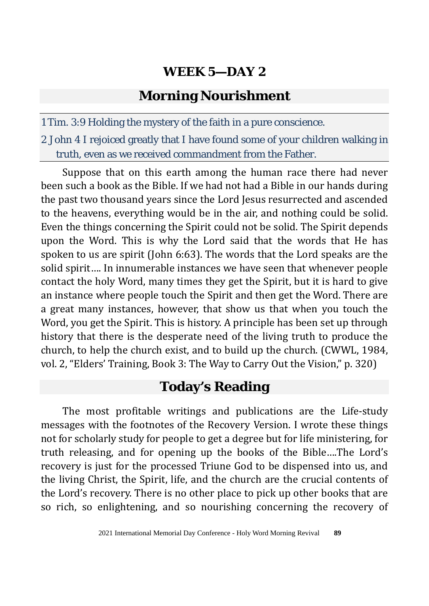## **Morning Nourishment**

1 Tim. 3:9 Holding the mystery of the faith in a pure conscience.

2 John 4 I rejoiced greatly that I have found some of your children walking in truth, even as we received commandment from the Father.

Suppose that on this earth among the human race there had never been such a book as the Bible. If we had not had a Bible in our hands during the past two thousand years since the Lord Jesus resurrected and ascended to the heavens, everything would be in the air, and nothing could be solid. Even the things concerning the Spirit could not be solid. The Spirit depends upon the Word. This is why the Lord said that the words that He has spoken to us are spirit (John 6:63). The words that the Lord speaks are the solid spirit…. In innumerable instances we have seen that whenever people contact the holy Word, many times they get the Spirit, but it is hard to give an instance where people touch the Spirit and then get the Word. There are a great many instances, however, that show us that when you touch the Word, you get the Spirit. This is history. A principle has been set up through history that there is the desperate need of the living truth to produce the church, to help the church exist, and to build up the church. (CWWL, 1984, vol. 2, "Elders' Training, Book 3: The Way to Carry Out the Vision," p. 320)

## **Today's Reading**

The most profitable writings and publications are the Life-study messages with the footnotes of the Recovery Version. I wrote these things not for scholarly study for people to get a degree but for life ministering, for truth releasing, and for opening up the books of the Bible….The Lord's recovery is just for the processed Triune God to be dispensed into us, and the living Christ, the Spirit, life, and the church are the crucial contents of the Lord's recovery. There is no other place to pick up other books that are so rich, so enlightening, and so nourishing concerning the recovery of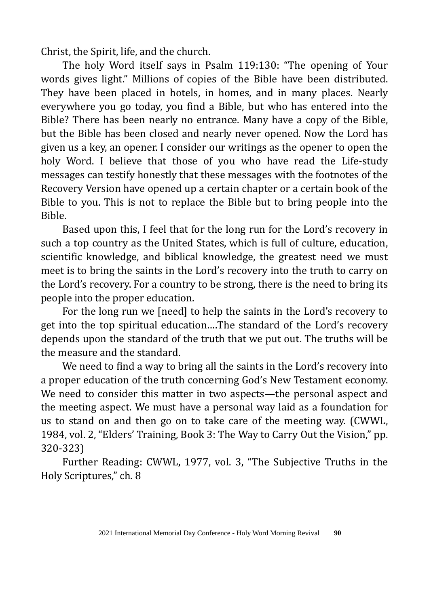Christ, the Spirit, life, and the church.

The holy Word itself says in Psalm 119:130: "The opening of Your words gives light." Millions of copies of the Bible have been distributed. They have been placed in hotels, in homes, and in many places. Nearly everywhere you go today, you find a Bible, but who has entered into the Bible? There has been nearly no entrance. Many have a copy of the Bible, but the Bible has been closed and nearly never opened. Now the Lord has given us a key, an opener. I consider our writings as the opener to open the holy Word. I believe that those of you who have read the Life-study messages can testify honestly that these messages with the footnotes of the Recovery Version have opened up a certain chapter or a certain book of the Bible to you. This is not to replace the Bible but to bring people into the Bible.

Based upon this, I feel that for the long run for the Lord's recovery in such a top country as the United States, which is full of culture, education, scientific knowledge, and biblical knowledge, the greatest need we must meet is to bring the saints in the Lord's recovery into the truth to carry on the Lord's recovery. For a country to be strong, there is the need to bring its people into the proper education.

For the long run we [need] to help the saints in the Lord's recovery to get into the top spiritual education….The standard of the Lord's recovery depends upon the standard of the truth that we put out. The truths will be the measure and the standard.

We need to find a way to bring all the saints in the Lord's recovery into a proper education of the truth concerning God's New Testament economy. We need to consider this matter in two aspects—the personal aspect and the meeting aspect. We must have a personal way laid as a foundation for us to stand on and then go on to take care of the meeting way. (CWWL, 1984, vol. 2, "Elders' Training, Book 3: The Way to Carry Out the Vision," pp. 320-323)

Further Reading: CWWL, 1977, vol. 3, "The Subjective Truths in the Holy Scriptures," ch. 8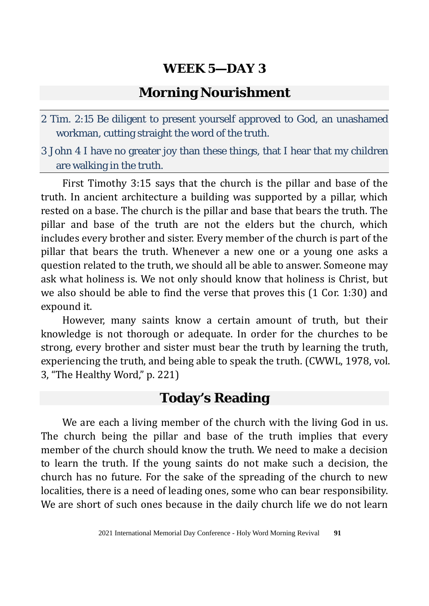#### **Morning Nourishment**

- 2 Tim. 2:15 Be diligent to present yourself approved to God, an unashamed workman, cutting straight the word of the truth.
- 3 John 4 I have no greater joy than these things, that I hear that my children are walking in the truth.

First Timothy 3:15 says that the church is the pillar and base of the truth. In ancient architecture a building was supported by a pillar, which rested on a base. The church is the pillar and base that bears the truth. The pillar and base of the truth are not the elders but the church, which includes every brother and sister. Every member of the church is part of the pillar that bears the truth. Whenever a new one or a young one asks a question related to the truth, we should all be able to answer. Someone may ask what holiness is. We not only should know that holiness is Christ, but we also should be able to find the verse that proves this (1 Cor. 1:30) and expound it.

However, many saints know a certain amount of truth, but their knowledge is not thorough or adequate. In order for the churches to be strong, every brother and sister must bear the truth by learning the truth, experiencing the truth, and being able to speak the truth. (CWWL, 1978, vol. 3, "The Healthy Word," p. 221)

#### **Today's Reading**

We are each a living member of the church with the living God in us. The church being the pillar and base of the truth implies that every member of the church should know the truth. We need to make a decision to learn the truth. If the young saints do not make such a decision, the church has no future. For the sake of the spreading of the church to new localities, there is a need of leading ones, some who can bear responsibility. We are short of such ones because in the daily church life we do not learn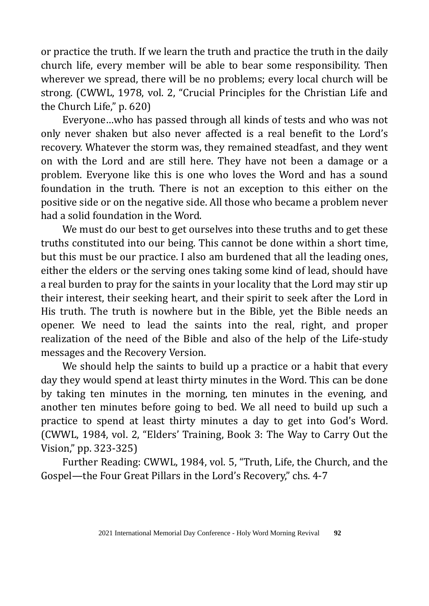or practice the truth. If we learn the truth and practice the truth in the daily church life, every member will be able to bear some responsibility. Then wherever we spread, there will be no problems; every local church will be strong. (CWWL, 1978, vol. 2, "Crucial Principles for the Christian Life and the Church Life," p. 620)

Everyone…who has passed through all kinds of tests and who was not only never shaken but also never affected is a real benefit to the Lord's recovery. Whatever the storm was, they remained steadfast, and they went on with the Lord and are still here. They have not been a damage or a problem. Everyone like this is one who loves the Word and has a sound foundation in the truth. There is not an exception to this either on the positive side or on the negative side. All those who became a problem never had a solid foundation in the Word.

We must do our best to get ourselves into these truths and to get these truths constituted into our being. This cannot be done within a short time, but this must be our practice. I also am burdened that all the leading ones, either the elders or the serving ones taking some kind of lead, should have a real burden to pray for the saints in your locality that the Lord may stir up their interest, their seeking heart, and their spirit to seek after the Lord in His truth. The truth is nowhere but in the Bible, yet the Bible needs an opener. We need to lead the saints into the real, right, and proper realization of the need of the Bible and also of the help of the Life-study messages and the Recovery Version.

We should help the saints to build up a practice or a habit that every day they would spend at least thirty minutes in the Word. This can be done by taking ten minutes in the morning, ten minutes in the evening, and another ten minutes before going to bed. We all need to build up such a practice to spend at least thirty minutes a day to get into God's Word. (CWWL, 1984, vol. 2, "Elders' Training, Book 3: The Way to Carry Out the Vision," pp. 323-325)

Further Reading: CWWL, 1984, vol. 5, "Truth, Life, the Church, and the Gospel—the Four Great Pillars in the Lord's Recovery," chs. 4-7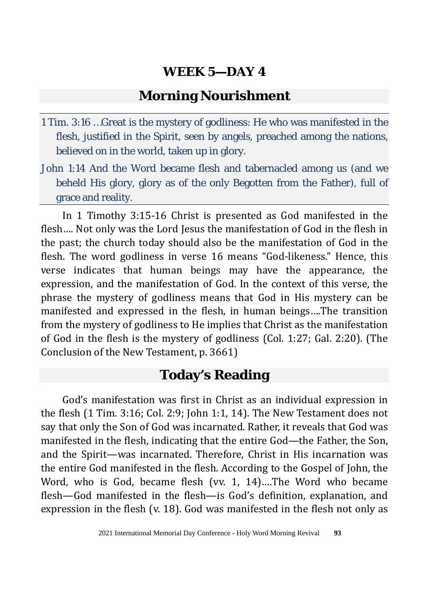#### **Morning Nourishment**

- 1 Tim. 3:16 …Great is the mystery of godliness: He who was manifested in the flesh, justified in the Spirit, seen by angels, preached among the nations, believed on in the world, taken up in glory.
- John 1:14 And the Word became flesh and tabernacled among us (and we beheld His glory, glory as of the only Begotten from the Father), full of grace and reality.

In 1 Timothy 3:15-16 Christ is presented as God manifested in the flesh…. Not only was the Lord Jesus the manifestation of God in the flesh in the past; the church today should also be the manifestation of God in the flesh. The word godliness in verse 16 means "God-likeness." Hence, this verse indicates that human beings may have the appearance, the expression, and the manifestation of God. In the context of this verse, the phrase the mystery of godliness means that God in His mystery can be manifested and expressed in the flesh, in human beings….The transition from the mystery of godliness to He implies that Christ as the manifestation of God in the flesh is the mystery of godliness (Col. 1:27; Gal. 2:20). (The Conclusion of the New Testament, p. 3661)

## **Today's Reading**

God's manifestation was first in Christ as an individual expression in the flesh (1 Tim. 3:16; Col. 2:9; John 1:1, 14). The New Testament does not say that only the Son of God was incarnated. Rather, it reveals that God was manifested in the flesh, indicating that the entire God—the Father, the Son, and the Spirit—was incarnated. Therefore, Christ in His incarnation was the entire God manifested in the flesh. According to the Gospel of John, the Word, who is God, became flesh (vv. 1, 14)….The Word who became flesh—God manifested in the flesh—is God's definition, explanation, and expression in the flesh (v. 18). God was manifested in the flesh not only as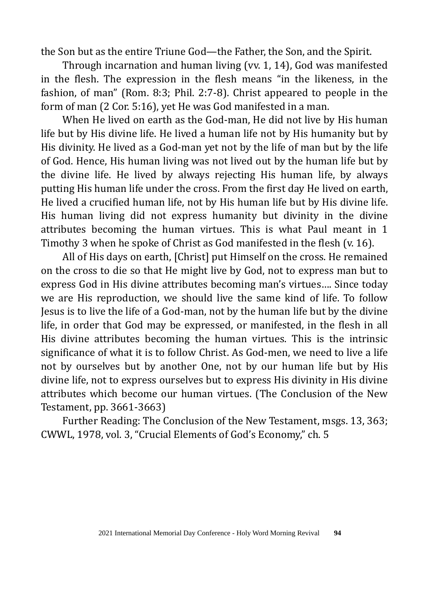the Son but as the entire Triune God—the Father, the Son, and the Spirit.

Through incarnation and human living (vv. 1, 14), God was manifested in the flesh. The expression in the flesh means "in the likeness, in the fashion, of man" (Rom. 8:3; Phil. 2:7-8). Christ appeared to people in the form of man (2 Cor. 5:16), yet He was God manifested in a man.

When He lived on earth as the God-man, He did not live by His human life but by His divine life. He lived a human life not by His humanity but by His divinity. He lived as a God-man yet not by the life of man but by the life of God. Hence, His human living was not lived out by the human life but by the divine life. He lived by always rejecting His human life, by always putting His human life under the cross. From the first day He lived on earth, He lived a crucified human life, not by His human life but by His divine life. His human living did not express humanity but divinity in the divine attributes becoming the human virtues. This is what Paul meant in 1 Timothy 3 when he spoke of Christ as God manifested in the flesh (v. 16).

All of His days on earth, [Christ] put Himself on the cross. He remained on the cross to die so that He might live by God, not to express man but to express God in His divine attributes becoming man's virtues…. Since today we are His reproduction, we should live the same kind of life. To follow Jesus is to live the life of a God-man, not by the human life but by the divine life, in order that God may be expressed, or manifested, in the flesh in all His divine attributes becoming the human virtues. This is the intrinsic significance of what it is to follow Christ. As God-men, we need to live a life not by ourselves but by another One, not by our human life but by His divine life, not to express ourselves but to express His divinity in His divine attributes which become our human virtues. (The Conclusion of the New Testament, pp. 3661-3663)

Further Reading: The Conclusion of the New Testament, msgs. 13, 363; CWWL, 1978, vol. 3, "Crucial Elements of God's Economy," ch. 5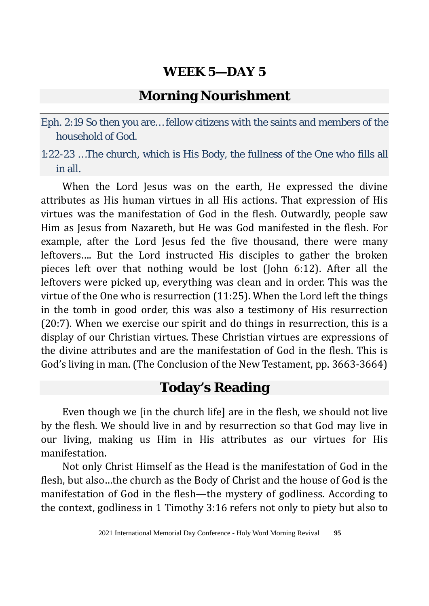## **Morning Nourishment**

Eph. 2:19 So then you are… fellow citizens with the saints and members of the household of God.

1:22-23 …The church, which is His Body, the fullness of the One who fills all in all.

When the Lord Jesus was on the earth, He expressed the divine attributes as His human virtues in all His actions. That expression of His virtues was the manifestation of God in the flesh. Outwardly, people saw Him as Jesus from Nazareth, but He was God manifested in the flesh. For example, after the Lord Jesus fed the five thousand, there were many leftovers…. But the Lord instructed His disciples to gather the broken pieces left over that nothing would be lost (John 6:12). After all the leftovers were picked up, everything was clean and in order. This was the virtue of the One who is resurrection (11:25). When the Lord left the things in the tomb in good order, this was also a testimony of His resurrection (20:7). When we exercise our spirit and do things in resurrection, this is a display of our Christian virtues. These Christian virtues are expressions of the divine attributes and are the manifestation of God in the flesh. This is God's living in man. (The Conclusion of the New Testament, pp. 3663-3664)

## **Today's Reading**

Even though we [in the church life] are in the flesh, we should not live by the flesh. We should live in and by resurrection so that God may live in our living, making us Him in His attributes as our virtues for His manifestation.

Not only Christ Himself as the Head is the manifestation of God in the flesh, but also…the church as the Body of Christ and the house of God is the manifestation of God in the flesh—the mystery of godliness. According to the context, godliness in 1 Timothy 3:16 refers not only to piety but also to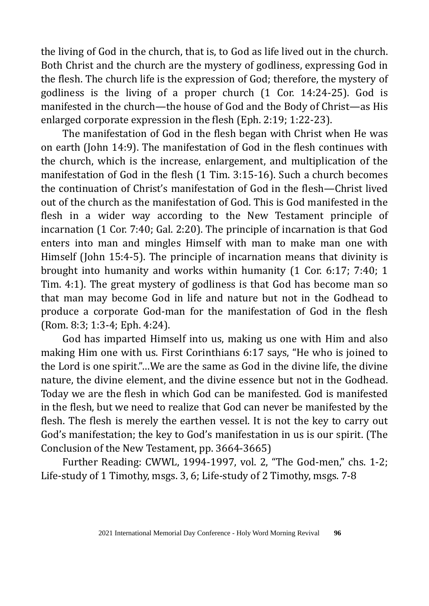the living of God in the church, that is, to God as life lived out in the church. Both Christ and the church are the mystery of godliness, expressing God in the flesh. The church life is the expression of God; therefore, the mystery of godliness is the living of a proper church (1 Cor. 14:24-25). God is manifested in the church—the house of God and the Body of Christ—as His enlarged corporate expression in the flesh (Eph. 2:19; 1:22-23).

The manifestation of God in the flesh began with Christ when He was on earth (John 14:9). The manifestation of God in the flesh continues with the church, which is the increase, enlargement, and multiplication of the manifestation of God in the flesh (1 Tim. 3:15-16). Such a church becomes the continuation of Christ's manifestation of God in the flesh—Christ lived out of the church as the manifestation of God. This is God manifested in the flesh in a wider way according to the New Testament principle of incarnation (1 Cor. 7:40; Gal. 2:20). The principle of incarnation is that God enters into man and mingles Himself with man to make man one with Himself (John 15:4-5). The principle of incarnation means that divinity is brought into humanity and works within humanity (1 Cor. 6:17; 7:40; 1 Tim. 4:1). The great mystery of godliness is that God has become man so that man may become God in life and nature but not in the Godhead to produce a corporate God-man for the manifestation of God in the flesh (Rom. 8:3; 1:3-4; Eph. 4:24).

God has imparted Himself into us, making us one with Him and also making Him one with us. First Corinthians 6:17 says, "He who is joined to the Lord is one spirit."…We are the same as God in the divine life, the divine nature, the divine element, and the divine essence but not in the Godhead. Today we are the flesh in which God can be manifested. God is manifested in the flesh, but we need to realize that God can never be manifested by the flesh. The flesh is merely the earthen vessel. It is not the key to carry out God's manifestation; the key to God's manifestation in us is our spirit. (The Conclusion of the New Testament, pp. 3664-3665)

Further Reading: CWWL, 1994-1997, vol. 2, "The God-men," chs. 1-2; Life-study of 1 Timothy, msgs. 3, 6; Life-study of 2 Timothy, msgs. 7-8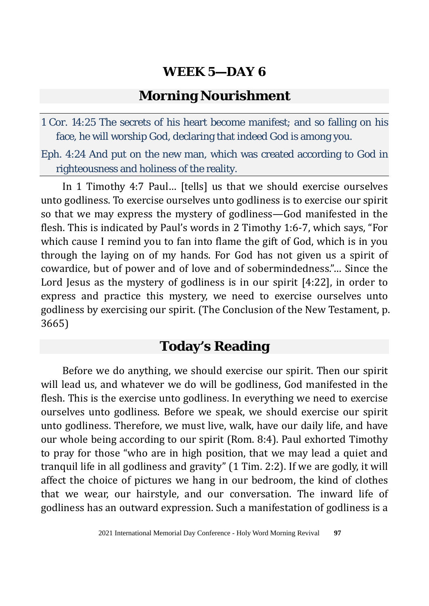## **Morning Nourishment**

1 Cor. 14:25 The secrets of his heart become manifest; and so falling on his face, he will worship God, declaring that indeed God is among you.

Eph. 4:24 And put on the new man, which was created according to God in righteousness and holiness of the reality.

In 1 Timothy 4:7 Paul… [tells] us that we should exercise ourselves unto godliness. To exercise ourselves unto godliness is to exercise our spirit so that we may express the mystery of godliness—God manifested in the flesh. This is indicated by Paul's words in 2 Timothy 1:6-7, which says, "For which cause I remind you to fan into flame the gift of God, which is in you through the laying on of my hands. For God has not given us a spirit of cowardice, but of power and of love and of sobermindedness."… Since the Lord Jesus as the mystery of godliness is in our spirit [4:22], in order to express and practice this mystery, we need to exercise ourselves unto godliness by exercising our spirit. (The Conclusion of the New Testament, p. 3665)

## **Today's Reading**

Before we do anything, we should exercise our spirit. Then our spirit will lead us, and whatever we do will be godliness, God manifested in the flesh. This is the exercise unto godliness. In everything we need to exercise ourselves unto godliness. Before we speak, we should exercise our spirit unto godliness. Therefore, we must live, walk, have our daily life, and have our whole being according to our spirit (Rom. 8:4). Paul exhorted Timothy to pray for those "who are in high position, that we may lead a quiet and tranquil life in all godliness and gravity" (1 Tim. 2:2). If we are godly, it will affect the choice of pictures we hang in our bedroom, the kind of clothes that we wear, our hairstyle, and our conversation. The inward life of godliness has an outward expression. Such a manifestation of godliness is a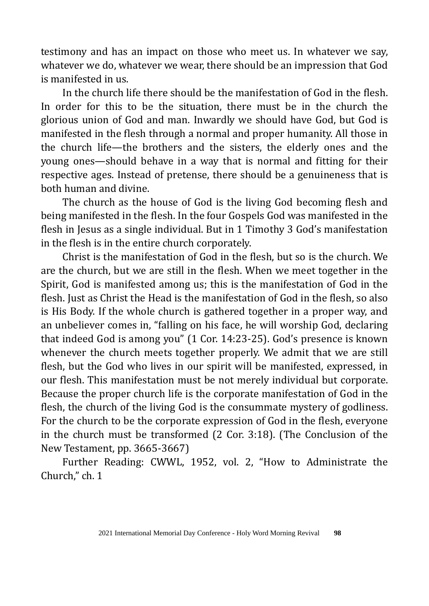testimony and has an impact on those who meet us. In whatever we say, whatever we do, whatever we wear, there should be an impression that God is manifested in us.

In the church life there should be the manifestation of God in the flesh. In order for this to be the situation, there must be in the church the glorious union of God and man. Inwardly we should have God, but God is manifested in the flesh through a normal and proper humanity. All those in the church life—the brothers and the sisters, the elderly ones and the young ones—should behave in a way that is normal and fitting for their respective ages. Instead of pretense, there should be a genuineness that is both human and divine.

The church as the house of God is the living God becoming flesh and being manifested in the flesh. In the four Gospels God was manifested in the flesh in Jesus as a single individual. But in 1 Timothy 3 God's manifestation in the flesh is in the entire church corporately.

Christ is the manifestation of God in the flesh, but so is the church. We are the church, but we are still in the flesh. When we meet together in the Spirit, God is manifested among us; this is the manifestation of God in the flesh. Just as Christ the Head is the manifestation of God in the flesh, so also is His Body. If the whole church is gathered together in a proper way, and an unbeliever comes in, "falling on his face, he will worship God, declaring that indeed God is among you" (1 Cor. 14:23-25). God's presence is known whenever the church meets together properly. We admit that we are still flesh, but the God who lives in our spirit will be manifested, expressed, in our flesh. This manifestation must be not merely individual but corporate. Because the proper church life is the corporate manifestation of God in the flesh, the church of the living God is the consummate mystery of godliness. For the church to be the corporate expression of God in the flesh, everyone in the church must be transformed (2 Cor. 3:18). (The Conclusion of the New Testament, pp. 3665-3667)

Further Reading: CWWL, 1952, vol. 2, "How to Administrate the Church," ch. 1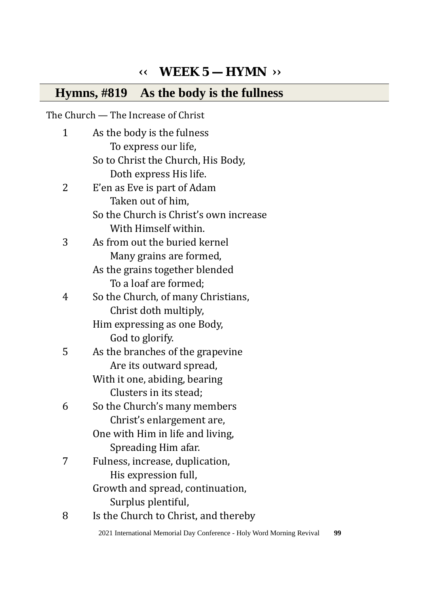## **‹‹ WEEK 5 — HYMN ››**

## **Hymns, #819 As the body is the fullness**

The Church — The Increase of Christ

| 1 | As the body is the fulness             |
|---|----------------------------------------|
|   | To express our life,                   |
|   | So to Christ the Church, His Body,     |
|   | Doth express His life.                 |
| 2 | E'en as Eve is part of Adam            |
|   | Taken out of him,                      |
|   | So the Church is Christ's own increase |
|   | With Himself within.                   |
| 3 | As from out the buried kernel          |
|   | Many grains are formed,                |
|   | As the grains together blended         |
|   | To a loaf are formed;                  |
| 4 | So the Church, of many Christians,     |
|   | Christ doth multiply,                  |
|   | Him expressing as one Body,            |
|   | God to glorify.                        |
| 5 | As the branches of the grapevine       |
|   | Are its outward spread,                |
|   | With it one, abiding, bearing          |
|   | Clusters in its stead;                 |
| 6 | So the Church's many members           |
|   | Christ's enlargement are,              |
|   | One with Him in life and living,       |
|   | Spreading Him afar.                    |
| 7 | Fulness, increase, duplication,        |
|   | His expression full,                   |
|   | Growth and spread, continuation,       |
|   | Surplus plentiful,                     |
| 8 | Is the Church to Christ, and thereby   |

2021 International Memorial Day Conference - Holy Word Morning Revival **99**